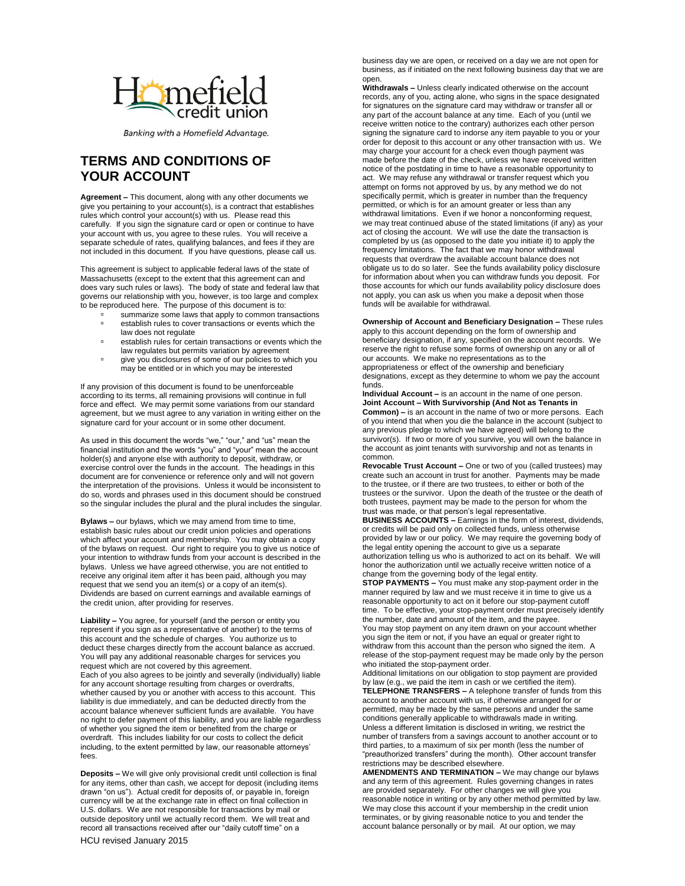

Banking with a Homefield Advantage.

## **TERMS AND CONDITIONS OF YOUR ACCOUNT**

**Agreement –** This document, along with any other documents we give you pertaining to your account(s), is a contract that establishes rules which control your account(s) with us. Please read this carefully. If you sign the signature card or open or continue to have your account with us, you agree to these rules. You will receive a separate schedule of rates, qualifying balances, and fees if they are not included in this document. If you have questions, please call us.

This agreement is subject to applicable federal laws of the state of Massachusetts (except to the extent that this agreement can and does vary such rules or laws). The body of state and federal law that governs our relationship with you, however, is too large and complex to be reproduced here. The purpose of this document is to:

- summarize some laws that apply to common transactions establish rules to cover transactions or events which the law does not regulate
- establish rules for certain transactions or events which the law regulates but permits variation by agreement
- give you disclosures of some of our policies to which you may be entitled or in which you may be interested

If any provision of this document is found to be unenforceable according to its terms, all remaining provisions will continue in full force and effect. We may permit some variations from our standard agreement, but we must agree to any variation in writing either on the signature card for your account or in some other document.

As used in this document the words "we," "our," and "us" mean the financial institution and the words "you" and "your" mean the account holder(s) and anyone else with authority to deposit, withdraw, or exercise control over the funds in the account. The headings in this document are for convenience or reference only and will not govern the interpretation of the provisions. Unless it would be inconsistent to do so, words and phrases used in this document should be construed so the singular includes the plural and the plural includes the singular.

**Bylaws –** our bylaws, which we may amend from time to time, establish basic rules about our credit union policies and operations which affect your account and membership. You may obtain a copy of the bylaws on request. Our right to require you to give us notice of your intention to withdraw funds from your account is described in the bylaws. Unless we have agreed otherwise, you are not entitled to receive any original item after it has been paid, although you may request that we send you an item(s) or a copy of an item(s). Dividends are based on current earnings and available earnings of the credit union, after providing for reserves.

**Liability –** You agree, for yourself (and the person or entity you represent if you sign as a representative of another) to the terms of this account and the schedule of charges. You authorize us to deduct these charges directly from the account balance as accrued. You will pay any additional reasonable charges for services you request which are not covered by this agreement. Each of you also agrees to be jointly and severally (individually) liable for any account shortage resulting from charges or overdrafts, whether caused by you or another with access to this account. This liability is due immediately, and can be deducted directly from the account balance whenever sufficient funds are available. You have no right to defer payment of this liability, and you are liable regardless of whether you signed the item or benefited from the charge or overdraft. This includes liability for our costs to collect the deficit including, to the extent permitted by law, our reasonable attorneys' fees.

**Deposits –** We will give only provisional credit until collection is final for any items, other than cash, we accept for deposit (including items drawn "on us"). Actual credit for deposits of, or payable in, foreign currency will be at the exchange rate in effect on final collection in U.S. dollars. We are not responsible for transactions by mail or outside depository until we actually record them. We will treat and record all transactions received after our "daily cutoff time" on a

business day we are open, or received on a day we are not open for business, as if initiated on the next following business day that we are open.

**Withdrawals –** Unless clearly indicated otherwise on the account records, any of you, acting alone, who signs in the space designated for signatures on the signature card may withdraw or transfer all or any part of the account balance at any time. Each of you (until we receive written notice to the contrary) authorizes each other person signing the signature card to indorse any item payable to you or your order for deposit to this account or any other transaction with us. We may charge your account for a check even though payment was made before the date of the check, unless we have received written notice of the postdating in time to have a reasonable opportunity to act. We may refuse any withdrawal or transfer request which you attempt on forms not approved by us, by any method we do not specifically permit, which is greater in number than the frequency permitted, or which is for an amount greater or less than any withdrawal limitations. Even if we honor a nonconforming request, we may treat continued abuse of the stated limitations (if any) as your act of closing the account. We will use the date the transaction is completed by us (as opposed to the date you initiate it) to apply the frequency limitations. The fact that we may honor withdrawal requests that overdraw the available account balance does not obligate us to do so later. See the funds availability policy disclosure for information about when you can withdraw funds you deposit. For those accounts for which our funds availability policy disclosure does not apply, you can ask us when you make a deposit when those funds will be available for withdrawal.

**Ownership of Account and Beneficiary Designation –** These rules apply to this account depending on the form of ownership and beneficiary designation, if any, specified on the account records. We reserve the right to refuse some forms of ownership on any or all of our accounts. We make no representations as to the appropriateness or effect of the ownership and beneficiary designations, except as they determine to whom we pay the account funds.

**Individual Account –** is an account in the name of one person. **Joint Account – With Survivorship (And Not as Tenants in Common) –** is an account in the name of two or more persons. Each of you intend that when you die the balance in the account (subject to any previous pledge to which we have agreed) will belong to the survivor(s). If two or more of you survive, you will own the balance in the account as joint tenants with survivorship and not as tenants in common.

**Revocable Trust Account –** One or two of you (called trustees) may create such an account in trust for another. Payments may be made to the trustee, or if there are two trustees, to either or both of the trustees or the survivor. Upon the death of the trustee or the death of both trustees, payment may be made to the person for whom the trust was made, or that person's legal representative.

**BUSINESS ACCOUNTS –** Earnings in the form of interest, dividends, or credits will be paid only on collected funds, unless otherwise provided by law or our policy. We may require the governing body of the legal entity opening the account to give us a separate authorization telling us who is authorized to act on its behalf. We will honor the authorization until we actually receive written notice of a change from the governing body of the legal entity.

**STOP PAYMENTS –** You must make any stop-payment order in the manner required by law and we must receive it in time to give us a reasonable opportunity to act on it before our stop-payment cutoff time. To be effective, your stop-payment order must precisely identify the number, date and amount of the item, and the payee. You may stop payment on any item drawn on your account whether you sign the item or not, if you have an equal or greater right to withdraw from this account than the person who signed the item. A release of the stop-payment request may be made only by the person who initiated the stop-payment order.

Additional limitations on our obligation to stop payment are provided by law (e.g., we paid the item in cash or we certified the item). **TELEPHONE TRANSFERS –** A telephone transfer of funds from this account to another account with us, if otherwise arranged for or permitted, may be made by the same persons and under the same conditions generally applicable to withdrawals made in writing. Unless a different limitation is disclosed in writing, we restrict the number of transfers from a savings account to another account or to third parties, to a maximum of six per month (less the number of "preauthorized transfers" during the month). Other account transfer restrictions may be described elsewhere.

**AMENDMENTS AND TERMINATION –** We may change our bylaws and any term of this agreement. Rules governing changes in rates are provided separately. For other changes we will give you reasonable notice in writing or by any other method permitted by law. We may close this account if your membership in the credit union terminates, or by giving reasonable notice to you and tender the account balance personally or by mail. At our option, we may